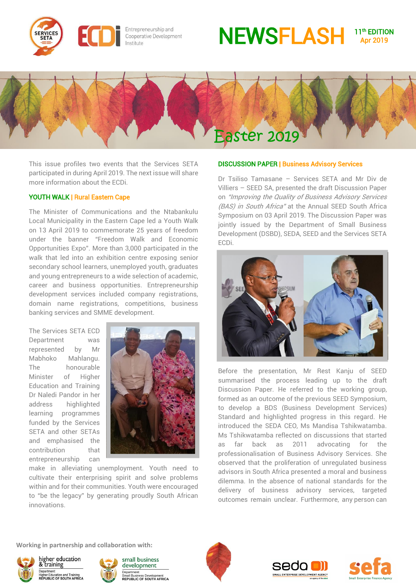

This issue profiles two events that the Services SETA participated in during April 2019. The next issue will share more information about the ECDi.

## YOUTH WALK | Rural Eastern Cape

The Minister of Communications and the Ntabankulu Local Municipality in the Eastern Cape led a Youth Walk on 13 April 2019 to commemorate 25 years of freedom under the banner "Freedom Walk and Economic Opportunities Expo". More than 3,000 participated in the walk that led into an exhibition centre exposing senior secondary school learners, unemployed youth, graduates and young entrepreneurs to a wide selection of academic, career and business opportunities. Entrepreneurship development services included company registrations, domain name registrations, competitions, business banking services and SMME development.

The Services SETA ECD Department was represented by Mr Mabhoko Mahlangu. The honourable Minister of Higher Education and Training Dr Naledi Pandor in her address highlighted learning programmes funded by the Services SETA and other SETAs and emphasised the contribution that entrepreneurship can



make in alleviating unemployment. Youth need to cultivate their enterprising spirit and solve problems within and for their communities. Youth were encouraged to "be the legacy" by generating proudly South African innovations.

## DISCUSSION PAPER | Business Advisory Services

Dr Tsiliso Tamasane – Services SETA and Mr Div de Villiers – SEED SA, presented the draft Discussion Paper on "Improving the Quality of Business Advisory Services (BAS) in South Africa" at the Annual SEED South Africa Symposium on 03 April 2019. The Discussion Paper was jointly issued by the Department of Small Business Development (DSBD), SEDA, SEED and the Services SETA ECDi.



Before the presentation, Mr Rest Kanju of SEED summarised the process leading up to the draft Discussion Paper. He referred to the working group, formed as an outcome of the previous SEED Symposium, to develop a BDS (Business Development Services) Standard and highlighted progress in this regard. He introduced the SEDA CEO, Ms Mandisa Tshikwatamba. Ms Tshikwatamba reflected on discussions that started as far back as 2011 advocating for the professionalisation of Business Advisory Services. She observed that the proliferation of unregulated business advisors in South Africa presented a moral and business dilemma. In the absence of national standards for the delivery of business advisory services, targeted outcomes remain unclear. Furthermore, any person can

**Working in partnership and collaboration with:**





small business development all Business Development<br>PUBLIC OF SOUTH AFRICA